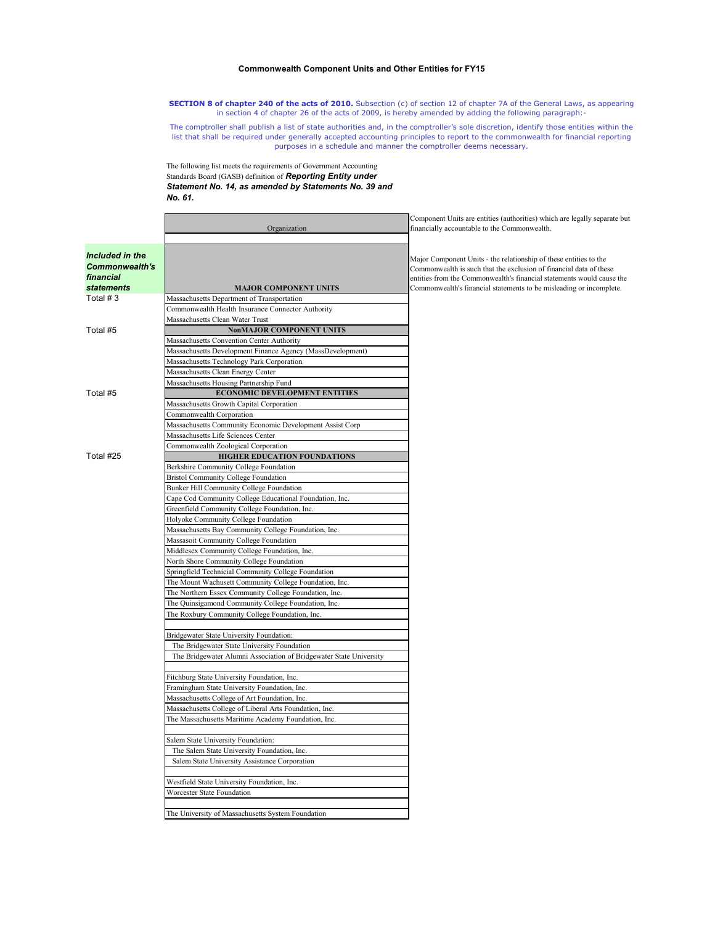## **Commonwealth Component Units and Other Entities for FY15**

**SECTION 8 of chapter 240 of the acts of 2010.** Subsection (c) of section 12 of chapter 7A of the General Laws, as appearing in section 4 of chapter 26 of the acts of 2009, is hereby amended by adding the following paragraph:-

The comptroller shall publish a list of state authorities and, in the comptroller's sole discretion, identify those entities within the list that shall be required under generally accepted accounting principles to report to the commonwealth for financial reporting purposes in a schedule and manner the comptroller deems necessary.

Component Units are entities (authorities) which are legally separate but

The following list meets the requirements of Government Accounting Standards Board (GASB) definition of *Reporting Entity under Statement No. 14, as amended by Statements No. 39 and No. 61.*

| Included in the<br>Major Component Units - the relationship of these entities to the<br><b>Commonwealth's</b><br>Commonwealth is such that the exclusion of financial data of these<br>financial<br><b>statements</b><br><b>MAJOR COMPONENT UNITS</b><br>Commonwealth's financial statements to be misleading or incomplete.<br>Total $# 3$<br>Massachusetts Department of Transportation<br>Commonwealth Health Insurance Connector Authority<br>Massachusetts Clean Water Trust<br>Total #5<br><b>NonMAJOR COMPONENT UNITS</b><br>Massachusetts Convention Center Authority<br>Massachusetts Development Finance Agency (MassDevelopment)<br>Massachusetts Technology Park Corporation<br>Massachusetts Clean Energy Center<br>Massachusetts Housing Partnership Fund<br><b>ECONOMIC DEVELOPMENT ENTITIES</b><br>Total #5<br>Massachusetts Growth Capital Corporation<br>Commonwealth Corporation<br>Massachusetts Community Economic Development Assist Corp<br>Massachusetts Life Sciences Center<br>Commonwealth Zoological Corporation<br>Total #25<br><b>HIGHER EDUCATION FOUNDATIONS</b><br>Berkshire Community College Foundation<br><b>Bristol Community College Foundation</b><br><b>Bunker Hill Community College Foundation</b><br>Cape Cod Community College Educational Foundation, Inc.<br>Greenfield Community College Foundation, Inc.<br>Holyoke Community College Foundation<br>Massachusetts Bay Community College Foundation, Inc.<br>Massasoit Community College Foundation<br>Middlesex Community College Foundation, Inc.<br>North Shore Community College Foundation<br>Springfield Technicial Community College Foundation<br>The Mount Wachusett Community College Foundation, Inc.<br>The Northern Essex Community College Foundation, Inc.<br>The Quinsigamond Community College Foundation, Inc.<br>The Roxbury Community College Foundation, Inc.<br>Bridgewater State University Foundation:<br>The Bridgewater State University Foundation<br>The Bridgewater Alumni Association of Bridgewater State University<br>Fitchburg State University Foundation, Inc. |  | Organization                                 | financially accountable to the Commonwealth.                          |
|---------------------------------------------------------------------------------------------------------------------------------------------------------------------------------------------------------------------------------------------------------------------------------------------------------------------------------------------------------------------------------------------------------------------------------------------------------------------------------------------------------------------------------------------------------------------------------------------------------------------------------------------------------------------------------------------------------------------------------------------------------------------------------------------------------------------------------------------------------------------------------------------------------------------------------------------------------------------------------------------------------------------------------------------------------------------------------------------------------------------------------------------------------------------------------------------------------------------------------------------------------------------------------------------------------------------------------------------------------------------------------------------------------------------------------------------------------------------------------------------------------------------------------------------------------------------------------------------------------------------------------------------------------------------------------------------------------------------------------------------------------------------------------------------------------------------------------------------------------------------------------------------------------------------------------------------------------------------------------------------------------------------------------------------------------------------------------------------------|--|----------------------------------------------|-----------------------------------------------------------------------|
|                                                                                                                                                                                                                                                                                                                                                                                                                                                                                                                                                                                                                                                                                                                                                                                                                                                                                                                                                                                                                                                                                                                                                                                                                                                                                                                                                                                                                                                                                                                                                                                                                                                                                                                                                                                                                                                                                                                                                                                                                                                                                                   |  |                                              |                                                                       |
|                                                                                                                                                                                                                                                                                                                                                                                                                                                                                                                                                                                                                                                                                                                                                                                                                                                                                                                                                                                                                                                                                                                                                                                                                                                                                                                                                                                                                                                                                                                                                                                                                                                                                                                                                                                                                                                                                                                                                                                                                                                                                                   |  |                                              | entities from the Commonwealth's financial statements would cause the |
|                                                                                                                                                                                                                                                                                                                                                                                                                                                                                                                                                                                                                                                                                                                                                                                                                                                                                                                                                                                                                                                                                                                                                                                                                                                                                                                                                                                                                                                                                                                                                                                                                                                                                                                                                                                                                                                                                                                                                                                                                                                                                                   |  |                                              |                                                                       |
|                                                                                                                                                                                                                                                                                                                                                                                                                                                                                                                                                                                                                                                                                                                                                                                                                                                                                                                                                                                                                                                                                                                                                                                                                                                                                                                                                                                                                                                                                                                                                                                                                                                                                                                                                                                                                                                                                                                                                                                                                                                                                                   |  |                                              |                                                                       |
|                                                                                                                                                                                                                                                                                                                                                                                                                                                                                                                                                                                                                                                                                                                                                                                                                                                                                                                                                                                                                                                                                                                                                                                                                                                                                                                                                                                                                                                                                                                                                                                                                                                                                                                                                                                                                                                                                                                                                                                                                                                                                                   |  |                                              |                                                                       |
|                                                                                                                                                                                                                                                                                                                                                                                                                                                                                                                                                                                                                                                                                                                                                                                                                                                                                                                                                                                                                                                                                                                                                                                                                                                                                                                                                                                                                                                                                                                                                                                                                                                                                                                                                                                                                                                                                                                                                                                                                                                                                                   |  |                                              |                                                                       |
|                                                                                                                                                                                                                                                                                                                                                                                                                                                                                                                                                                                                                                                                                                                                                                                                                                                                                                                                                                                                                                                                                                                                                                                                                                                                                                                                                                                                                                                                                                                                                                                                                                                                                                                                                                                                                                                                                                                                                                                                                                                                                                   |  |                                              |                                                                       |
|                                                                                                                                                                                                                                                                                                                                                                                                                                                                                                                                                                                                                                                                                                                                                                                                                                                                                                                                                                                                                                                                                                                                                                                                                                                                                                                                                                                                                                                                                                                                                                                                                                                                                                                                                                                                                                                                                                                                                                                                                                                                                                   |  |                                              |                                                                       |
|                                                                                                                                                                                                                                                                                                                                                                                                                                                                                                                                                                                                                                                                                                                                                                                                                                                                                                                                                                                                                                                                                                                                                                                                                                                                                                                                                                                                                                                                                                                                                                                                                                                                                                                                                                                                                                                                                                                                                                                                                                                                                                   |  |                                              |                                                                       |
|                                                                                                                                                                                                                                                                                                                                                                                                                                                                                                                                                                                                                                                                                                                                                                                                                                                                                                                                                                                                                                                                                                                                                                                                                                                                                                                                                                                                                                                                                                                                                                                                                                                                                                                                                                                                                                                                                                                                                                                                                                                                                                   |  |                                              |                                                                       |
|                                                                                                                                                                                                                                                                                                                                                                                                                                                                                                                                                                                                                                                                                                                                                                                                                                                                                                                                                                                                                                                                                                                                                                                                                                                                                                                                                                                                                                                                                                                                                                                                                                                                                                                                                                                                                                                                                                                                                                                                                                                                                                   |  |                                              |                                                                       |
|                                                                                                                                                                                                                                                                                                                                                                                                                                                                                                                                                                                                                                                                                                                                                                                                                                                                                                                                                                                                                                                                                                                                                                                                                                                                                                                                                                                                                                                                                                                                                                                                                                                                                                                                                                                                                                                                                                                                                                                                                                                                                                   |  |                                              |                                                                       |
|                                                                                                                                                                                                                                                                                                                                                                                                                                                                                                                                                                                                                                                                                                                                                                                                                                                                                                                                                                                                                                                                                                                                                                                                                                                                                                                                                                                                                                                                                                                                                                                                                                                                                                                                                                                                                                                                                                                                                                                                                                                                                                   |  |                                              |                                                                       |
|                                                                                                                                                                                                                                                                                                                                                                                                                                                                                                                                                                                                                                                                                                                                                                                                                                                                                                                                                                                                                                                                                                                                                                                                                                                                                                                                                                                                                                                                                                                                                                                                                                                                                                                                                                                                                                                                                                                                                                                                                                                                                                   |  |                                              |                                                                       |
|                                                                                                                                                                                                                                                                                                                                                                                                                                                                                                                                                                                                                                                                                                                                                                                                                                                                                                                                                                                                                                                                                                                                                                                                                                                                                                                                                                                                                                                                                                                                                                                                                                                                                                                                                                                                                                                                                                                                                                                                                                                                                                   |  |                                              |                                                                       |
|                                                                                                                                                                                                                                                                                                                                                                                                                                                                                                                                                                                                                                                                                                                                                                                                                                                                                                                                                                                                                                                                                                                                                                                                                                                                                                                                                                                                                                                                                                                                                                                                                                                                                                                                                                                                                                                                                                                                                                                                                                                                                                   |  |                                              |                                                                       |
|                                                                                                                                                                                                                                                                                                                                                                                                                                                                                                                                                                                                                                                                                                                                                                                                                                                                                                                                                                                                                                                                                                                                                                                                                                                                                                                                                                                                                                                                                                                                                                                                                                                                                                                                                                                                                                                                                                                                                                                                                                                                                                   |  |                                              |                                                                       |
|                                                                                                                                                                                                                                                                                                                                                                                                                                                                                                                                                                                                                                                                                                                                                                                                                                                                                                                                                                                                                                                                                                                                                                                                                                                                                                                                                                                                                                                                                                                                                                                                                                                                                                                                                                                                                                                                                                                                                                                                                                                                                                   |  |                                              |                                                                       |
|                                                                                                                                                                                                                                                                                                                                                                                                                                                                                                                                                                                                                                                                                                                                                                                                                                                                                                                                                                                                                                                                                                                                                                                                                                                                                                                                                                                                                                                                                                                                                                                                                                                                                                                                                                                                                                                                                                                                                                                                                                                                                                   |  |                                              |                                                                       |
|                                                                                                                                                                                                                                                                                                                                                                                                                                                                                                                                                                                                                                                                                                                                                                                                                                                                                                                                                                                                                                                                                                                                                                                                                                                                                                                                                                                                                                                                                                                                                                                                                                                                                                                                                                                                                                                                                                                                                                                                                                                                                                   |  |                                              |                                                                       |
|                                                                                                                                                                                                                                                                                                                                                                                                                                                                                                                                                                                                                                                                                                                                                                                                                                                                                                                                                                                                                                                                                                                                                                                                                                                                                                                                                                                                                                                                                                                                                                                                                                                                                                                                                                                                                                                                                                                                                                                                                                                                                                   |  |                                              |                                                                       |
|                                                                                                                                                                                                                                                                                                                                                                                                                                                                                                                                                                                                                                                                                                                                                                                                                                                                                                                                                                                                                                                                                                                                                                                                                                                                                                                                                                                                                                                                                                                                                                                                                                                                                                                                                                                                                                                                                                                                                                                                                                                                                                   |  |                                              |                                                                       |
|                                                                                                                                                                                                                                                                                                                                                                                                                                                                                                                                                                                                                                                                                                                                                                                                                                                                                                                                                                                                                                                                                                                                                                                                                                                                                                                                                                                                                                                                                                                                                                                                                                                                                                                                                                                                                                                                                                                                                                                                                                                                                                   |  |                                              |                                                                       |
|                                                                                                                                                                                                                                                                                                                                                                                                                                                                                                                                                                                                                                                                                                                                                                                                                                                                                                                                                                                                                                                                                                                                                                                                                                                                                                                                                                                                                                                                                                                                                                                                                                                                                                                                                                                                                                                                                                                                                                                                                                                                                                   |  |                                              |                                                                       |
|                                                                                                                                                                                                                                                                                                                                                                                                                                                                                                                                                                                                                                                                                                                                                                                                                                                                                                                                                                                                                                                                                                                                                                                                                                                                                                                                                                                                                                                                                                                                                                                                                                                                                                                                                                                                                                                                                                                                                                                                                                                                                                   |  |                                              |                                                                       |
|                                                                                                                                                                                                                                                                                                                                                                                                                                                                                                                                                                                                                                                                                                                                                                                                                                                                                                                                                                                                                                                                                                                                                                                                                                                                                                                                                                                                                                                                                                                                                                                                                                                                                                                                                                                                                                                                                                                                                                                                                                                                                                   |  |                                              |                                                                       |
|                                                                                                                                                                                                                                                                                                                                                                                                                                                                                                                                                                                                                                                                                                                                                                                                                                                                                                                                                                                                                                                                                                                                                                                                                                                                                                                                                                                                                                                                                                                                                                                                                                                                                                                                                                                                                                                                                                                                                                                                                                                                                                   |  |                                              |                                                                       |
|                                                                                                                                                                                                                                                                                                                                                                                                                                                                                                                                                                                                                                                                                                                                                                                                                                                                                                                                                                                                                                                                                                                                                                                                                                                                                                                                                                                                                                                                                                                                                                                                                                                                                                                                                                                                                                                                                                                                                                                                                                                                                                   |  |                                              |                                                                       |
|                                                                                                                                                                                                                                                                                                                                                                                                                                                                                                                                                                                                                                                                                                                                                                                                                                                                                                                                                                                                                                                                                                                                                                                                                                                                                                                                                                                                                                                                                                                                                                                                                                                                                                                                                                                                                                                                                                                                                                                                                                                                                                   |  |                                              |                                                                       |
|                                                                                                                                                                                                                                                                                                                                                                                                                                                                                                                                                                                                                                                                                                                                                                                                                                                                                                                                                                                                                                                                                                                                                                                                                                                                                                                                                                                                                                                                                                                                                                                                                                                                                                                                                                                                                                                                                                                                                                                                                                                                                                   |  |                                              |                                                                       |
|                                                                                                                                                                                                                                                                                                                                                                                                                                                                                                                                                                                                                                                                                                                                                                                                                                                                                                                                                                                                                                                                                                                                                                                                                                                                                                                                                                                                                                                                                                                                                                                                                                                                                                                                                                                                                                                                                                                                                                                                                                                                                                   |  |                                              |                                                                       |
|                                                                                                                                                                                                                                                                                                                                                                                                                                                                                                                                                                                                                                                                                                                                                                                                                                                                                                                                                                                                                                                                                                                                                                                                                                                                                                                                                                                                                                                                                                                                                                                                                                                                                                                                                                                                                                                                                                                                                                                                                                                                                                   |  |                                              |                                                                       |
|                                                                                                                                                                                                                                                                                                                                                                                                                                                                                                                                                                                                                                                                                                                                                                                                                                                                                                                                                                                                                                                                                                                                                                                                                                                                                                                                                                                                                                                                                                                                                                                                                                                                                                                                                                                                                                                                                                                                                                                                                                                                                                   |  |                                              |                                                                       |
|                                                                                                                                                                                                                                                                                                                                                                                                                                                                                                                                                                                                                                                                                                                                                                                                                                                                                                                                                                                                                                                                                                                                                                                                                                                                                                                                                                                                                                                                                                                                                                                                                                                                                                                                                                                                                                                                                                                                                                                                                                                                                                   |  |                                              |                                                                       |
|                                                                                                                                                                                                                                                                                                                                                                                                                                                                                                                                                                                                                                                                                                                                                                                                                                                                                                                                                                                                                                                                                                                                                                                                                                                                                                                                                                                                                                                                                                                                                                                                                                                                                                                                                                                                                                                                                                                                                                                                                                                                                                   |  |                                              |                                                                       |
|                                                                                                                                                                                                                                                                                                                                                                                                                                                                                                                                                                                                                                                                                                                                                                                                                                                                                                                                                                                                                                                                                                                                                                                                                                                                                                                                                                                                                                                                                                                                                                                                                                                                                                                                                                                                                                                                                                                                                                                                                                                                                                   |  |                                              |                                                                       |
|                                                                                                                                                                                                                                                                                                                                                                                                                                                                                                                                                                                                                                                                                                                                                                                                                                                                                                                                                                                                                                                                                                                                                                                                                                                                                                                                                                                                                                                                                                                                                                                                                                                                                                                                                                                                                                                                                                                                                                                                                                                                                                   |  |                                              |                                                                       |
|                                                                                                                                                                                                                                                                                                                                                                                                                                                                                                                                                                                                                                                                                                                                                                                                                                                                                                                                                                                                                                                                                                                                                                                                                                                                                                                                                                                                                                                                                                                                                                                                                                                                                                                                                                                                                                                                                                                                                                                                                                                                                                   |  |                                              |                                                                       |
|                                                                                                                                                                                                                                                                                                                                                                                                                                                                                                                                                                                                                                                                                                                                                                                                                                                                                                                                                                                                                                                                                                                                                                                                                                                                                                                                                                                                                                                                                                                                                                                                                                                                                                                                                                                                                                                                                                                                                                                                                                                                                                   |  |                                              |                                                                       |
|                                                                                                                                                                                                                                                                                                                                                                                                                                                                                                                                                                                                                                                                                                                                                                                                                                                                                                                                                                                                                                                                                                                                                                                                                                                                                                                                                                                                                                                                                                                                                                                                                                                                                                                                                                                                                                                                                                                                                                                                                                                                                                   |  | Framingham State University Foundation, Inc. |                                                                       |
| Massachusetts College of Art Foundation, Inc.                                                                                                                                                                                                                                                                                                                                                                                                                                                                                                                                                                                                                                                                                                                                                                                                                                                                                                                                                                                                                                                                                                                                                                                                                                                                                                                                                                                                                                                                                                                                                                                                                                                                                                                                                                                                                                                                                                                                                                                                                                                     |  |                                              |                                                                       |
| Massachusetts College of Liberal Arts Foundation, Inc.                                                                                                                                                                                                                                                                                                                                                                                                                                                                                                                                                                                                                                                                                                                                                                                                                                                                                                                                                                                                                                                                                                                                                                                                                                                                                                                                                                                                                                                                                                                                                                                                                                                                                                                                                                                                                                                                                                                                                                                                                                            |  |                                              |                                                                       |
| The Massachusetts Maritime Academy Foundation, Inc.                                                                                                                                                                                                                                                                                                                                                                                                                                                                                                                                                                                                                                                                                                                                                                                                                                                                                                                                                                                                                                                                                                                                                                                                                                                                                                                                                                                                                                                                                                                                                                                                                                                                                                                                                                                                                                                                                                                                                                                                                                               |  |                                              |                                                                       |
|                                                                                                                                                                                                                                                                                                                                                                                                                                                                                                                                                                                                                                                                                                                                                                                                                                                                                                                                                                                                                                                                                                                                                                                                                                                                                                                                                                                                                                                                                                                                                                                                                                                                                                                                                                                                                                                                                                                                                                                                                                                                                                   |  |                                              |                                                                       |
| Salem State University Foundation:                                                                                                                                                                                                                                                                                                                                                                                                                                                                                                                                                                                                                                                                                                                                                                                                                                                                                                                                                                                                                                                                                                                                                                                                                                                                                                                                                                                                                                                                                                                                                                                                                                                                                                                                                                                                                                                                                                                                                                                                                                                                |  |                                              |                                                                       |
| The Salem State University Foundation, Inc.                                                                                                                                                                                                                                                                                                                                                                                                                                                                                                                                                                                                                                                                                                                                                                                                                                                                                                                                                                                                                                                                                                                                                                                                                                                                                                                                                                                                                                                                                                                                                                                                                                                                                                                                                                                                                                                                                                                                                                                                                                                       |  |                                              |                                                                       |
| Salem State University Assistance Corporation                                                                                                                                                                                                                                                                                                                                                                                                                                                                                                                                                                                                                                                                                                                                                                                                                                                                                                                                                                                                                                                                                                                                                                                                                                                                                                                                                                                                                                                                                                                                                                                                                                                                                                                                                                                                                                                                                                                                                                                                                                                     |  |                                              |                                                                       |
|                                                                                                                                                                                                                                                                                                                                                                                                                                                                                                                                                                                                                                                                                                                                                                                                                                                                                                                                                                                                                                                                                                                                                                                                                                                                                                                                                                                                                                                                                                                                                                                                                                                                                                                                                                                                                                                                                                                                                                                                                                                                                                   |  |                                              |                                                                       |
| Westfield State University Foundation, Inc.                                                                                                                                                                                                                                                                                                                                                                                                                                                                                                                                                                                                                                                                                                                                                                                                                                                                                                                                                                                                                                                                                                                                                                                                                                                                                                                                                                                                                                                                                                                                                                                                                                                                                                                                                                                                                                                                                                                                                                                                                                                       |  |                                              |                                                                       |
| Worcester State Foundation                                                                                                                                                                                                                                                                                                                                                                                                                                                                                                                                                                                                                                                                                                                                                                                                                                                                                                                                                                                                                                                                                                                                                                                                                                                                                                                                                                                                                                                                                                                                                                                                                                                                                                                                                                                                                                                                                                                                                                                                                                                                        |  |                                              |                                                                       |
|                                                                                                                                                                                                                                                                                                                                                                                                                                                                                                                                                                                                                                                                                                                                                                                                                                                                                                                                                                                                                                                                                                                                                                                                                                                                                                                                                                                                                                                                                                                                                                                                                                                                                                                                                                                                                                                                                                                                                                                                                                                                                                   |  |                                              |                                                                       |
| The University of Massachusetts System Foundation                                                                                                                                                                                                                                                                                                                                                                                                                                                                                                                                                                                                                                                                                                                                                                                                                                                                                                                                                                                                                                                                                                                                                                                                                                                                                                                                                                                                                                                                                                                                                                                                                                                                                                                                                                                                                                                                                                                                                                                                                                                 |  |                                              |                                                                       |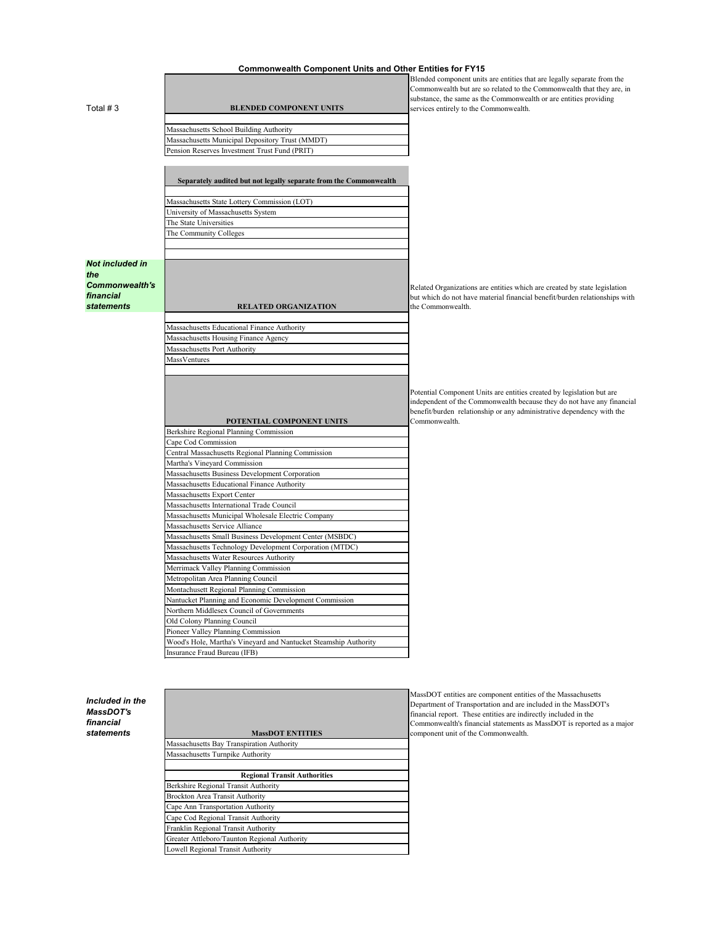## **Commonwealth Component Units and Other Entities for FY15**

| Total $# 3$                                            | <b>BLENDED COMPONENT UNITS</b>                                                                      | Blended component units are entities that are legally separate from the<br>Commonwealth but are so related to the Commonwealth that they are, in<br>substance, the same as the Commonwealth or are entities providing<br>services entirely to the Commonwealth. |
|--------------------------------------------------------|-----------------------------------------------------------------------------------------------------|-----------------------------------------------------------------------------------------------------------------------------------------------------------------------------------------------------------------------------------------------------------------|
|                                                        |                                                                                                     |                                                                                                                                                                                                                                                                 |
|                                                        | Massachusetts School Building Authority                                                             |                                                                                                                                                                                                                                                                 |
|                                                        | Massachusetts Municipal Depository Trust (MMDT)                                                     |                                                                                                                                                                                                                                                                 |
|                                                        | Pension Reserves Investment Trust Fund (PRIT)                                                       |                                                                                                                                                                                                                                                                 |
|                                                        |                                                                                                     |                                                                                                                                                                                                                                                                 |
|                                                        | Separately audited but not legally separate from the Commonwealth                                   |                                                                                                                                                                                                                                                                 |
|                                                        | Massachusetts State Lottery Commission (LOT)                                                        |                                                                                                                                                                                                                                                                 |
|                                                        | University of Massachusetts System                                                                  |                                                                                                                                                                                                                                                                 |
|                                                        | The State Universities                                                                              |                                                                                                                                                                                                                                                                 |
|                                                        | The Community Colleges                                                                              |                                                                                                                                                                                                                                                                 |
|                                                        |                                                                                                     |                                                                                                                                                                                                                                                                 |
| <b>Not included in</b><br>the<br><b>Commonwealth's</b> |                                                                                                     | Related Organizations are entities which are created by state legislation                                                                                                                                                                                       |
| financial                                              |                                                                                                     | but which do not have material financial benefit/burden relationships with                                                                                                                                                                                      |
| <b>statements</b>                                      | <b>RELATED ORGANIZATION</b>                                                                         | the Commonwealth.                                                                                                                                                                                                                                               |
|                                                        | Massachusetts Educational Finance Authority                                                         |                                                                                                                                                                                                                                                                 |
|                                                        | Massachusetts Housing Finance Agency                                                                |                                                                                                                                                                                                                                                                 |
|                                                        | Massachusetts Port Authority                                                                        |                                                                                                                                                                                                                                                                 |
|                                                        | MassVentures                                                                                        |                                                                                                                                                                                                                                                                 |
|                                                        |                                                                                                     |                                                                                                                                                                                                                                                                 |
|                                                        |                                                                                                     |                                                                                                                                                                                                                                                                 |
|                                                        | POTENTIAL COMPONENT UNITS                                                                           | Potential Component Units are entities created by legislation but are<br>independent of the Commonwealth because they do not have any financial<br>benefit/burden relationship or any administrative dependency with the<br>Commonwealth.                       |
|                                                        | Berkshire Regional Planning Commission                                                              |                                                                                                                                                                                                                                                                 |
|                                                        | Cape Cod Commission                                                                                 |                                                                                                                                                                                                                                                                 |
|                                                        | Central Massachusetts Regional Planning Commission                                                  |                                                                                                                                                                                                                                                                 |
|                                                        | Martha's Vineyard Commission                                                                        |                                                                                                                                                                                                                                                                 |
|                                                        | Massachusetts Business Development Corporation                                                      |                                                                                                                                                                                                                                                                 |
|                                                        | Massachusetts Educational Finance Authority                                                         |                                                                                                                                                                                                                                                                 |
|                                                        | Massachusetts Export Center                                                                         |                                                                                                                                                                                                                                                                 |
|                                                        | Massachusetts International Trade Council                                                           |                                                                                                                                                                                                                                                                 |
|                                                        | Massachusetts Municipal Wholesale Electric Company                                                  |                                                                                                                                                                                                                                                                 |
|                                                        | Massachusetts Service Alliance                                                                      |                                                                                                                                                                                                                                                                 |
|                                                        | Massachusetts Small Business Development Center (MSBDC)                                             |                                                                                                                                                                                                                                                                 |
|                                                        | Massachusetts Technology Development Corporation (MTDC)                                             |                                                                                                                                                                                                                                                                 |
|                                                        | Massachusetts Water Resources Authority                                                             |                                                                                                                                                                                                                                                                 |
|                                                        | Merrimack Valley Planning Commission                                                                |                                                                                                                                                                                                                                                                 |
|                                                        | Metropolitan Area Planning Council                                                                  |                                                                                                                                                                                                                                                                 |
|                                                        | Montachusett Regional Planning Commission                                                           |                                                                                                                                                                                                                                                                 |
|                                                        | Nantucket Planning and Economic Development Commission<br>Northern Middlesex Council of Governments |                                                                                                                                                                                                                                                                 |
|                                                        |                                                                                                     |                                                                                                                                                                                                                                                                 |
|                                                        | Old Colony Planning Council<br>Pioneer Valley Planning Commission                                   |                                                                                                                                                                                                                                                                 |
|                                                        | Wood's Hole, Martha's Vineyard and Nantucket Steamship Authority                                    |                                                                                                                                                                                                                                                                 |
|                                                        | Insurance Fraud Bureau (IFB)                                                                        |                                                                                                                                                                                                                                                                 |
|                                                        |                                                                                                     |                                                                                                                                                                                                                                                                 |
|                                                        |                                                                                                     |                                                                                                                                                                                                                                                                 |
|                                                        |                                                                                                     |                                                                                                                                                                                                                                                                 |
|                                                        |                                                                                                     | $-$ DOT<br>$\mathbf{A}$                                                                                                                                                                                                                                         |

*Included in the MassDOT's financial*   $statements$ 

| <b>MassDOT ENTITIES</b> |  |
|-------------------------|--|
|                         |  |

Massachusetts Bay Transpiration Authority

| Massachusetts Turnpike Authority             |
|----------------------------------------------|
|                                              |
| <b>Regional Transit Authorities</b>          |
| Berkshire Regional Transit Authority         |
| Brockton Area Transit Authority              |
| Cape Ann Transportation Authority            |
| Cape Cod Regional Transit Authority          |
| Franklin Regional Transit Authority          |
| Greater Attleboro/Taunton Regional Authority |
| Lowell Regional Transit Authority            |

MassDOT entities are component entities of the Massachusetts Department of Transportation and are included in the MassDOT's financial report. These entities are indirectly included in the Commonwealth's financial statements as MassDOT is reported as a major component unit of the Commonwealth.